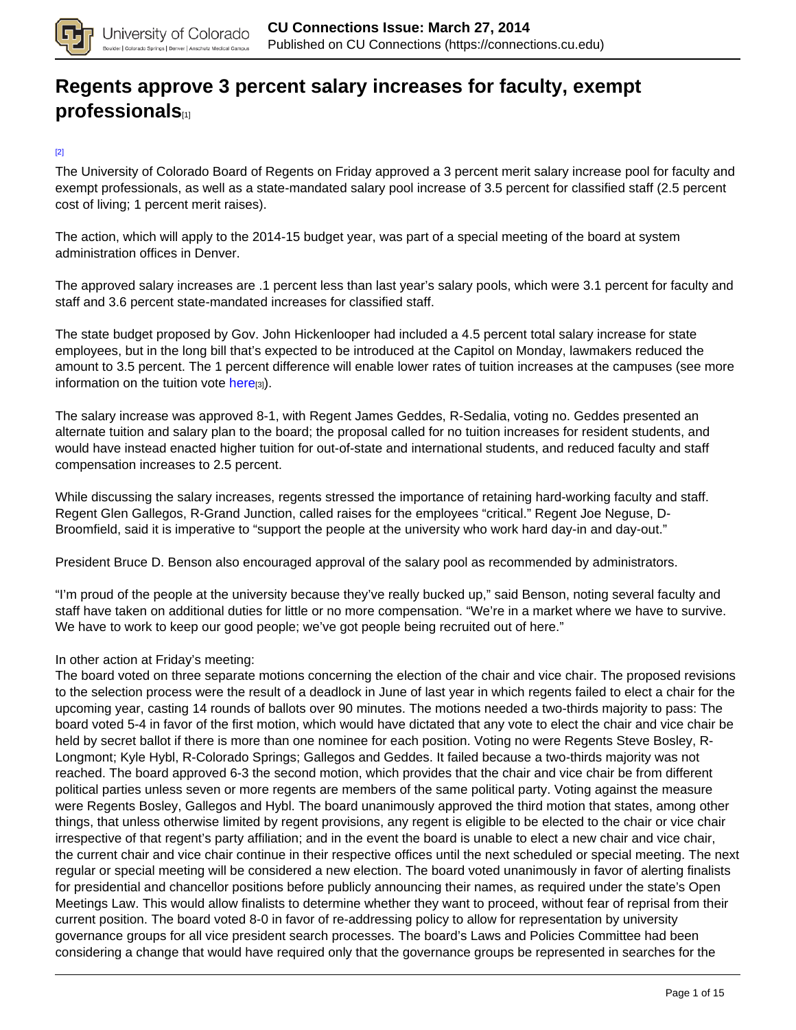

## **[Regents approve 3 percent salary increases for faculty, exempt](https://connections.cu.edu/stories/regents-approve-3-percent-salary-increases-faculty-exempt-professionals) [professionals](https://connections.cu.edu/stories/regents-approve-3-percent-salary-increases-faculty-exempt-professionals)**[1]

#### [2]

The University of Colorado Board of Regents on Friday approved a 3 percent merit salary increase pool for faculty and exempt professionals, as well as a state-mandated salary pool increase of 3.5 percent for classified staff (2.5 percent cost of living; 1 percent merit raises).

The action, which will apply to the 2014-15 budget year, was part of a special meeting of the board at system administration offices in Denver.

The approved salary increases are .1 percent less than last year's salary pools, which were 3.1 percent for faculty and staff and 3.6 percent state-mandated increases for classified staff.

The state budget proposed by Gov. John Hickenlooper had included a 4.5 percent total salary increase for state employees, but in the long bill that's expected to be introduced at the Capitol on Monday, lawmakers reduced the amount to 3.5 percent. The 1 percent difference will enable lower rates of tuition increases at the campuses (see more information on the tuition vote here $_{[3]}$ ).

The salary increase was approved 8-1, with Regent James Geddes, R-Sedalia, voting no. Geddes presented an alternate tuition and salary plan to the board; the proposal called for no tuition increases for resident students, and would have instead enacted higher tuition for out-of-state and international students, and reduced faculty and staff compensation increases to 2.5 percent.

While discussing the salary increases, regents stressed the importance of retaining hard-working faculty and staff. Regent Glen Gallegos, R-Grand Junction, called raises for the employees "critical." Regent Joe Neguse, D-Broomfield, said it is imperative to "support the people at the university who work hard day-in and day-out."

President Bruce D. Benson also encouraged approval of the salary pool as recommended by administrators.

"I'm proud of the people at the university because they've really bucked up," said Benson, noting several faculty and staff have taken on additional duties for little or no more compensation. "We're in a market where we have to survive. We have to work to keep our good people; we've got people being recruited out of here."

#### In other action at Friday's meeting:

The board voted on three separate motions concerning the election of the chair and vice chair. The proposed revisions to the selection process were the result of a deadlock in June of last year in which regents failed to elect a chair for the upcoming year, casting 14 rounds of ballots over 90 minutes. The motions needed a two-thirds majority to pass: The board voted 5-4 in favor of the first motion, which would have dictated that any vote to elect the chair and vice chair be held by secret ballot if there is more than one nominee for each position. Voting no were Regents Steve Bosley, R-Longmont; Kyle Hybl, R-Colorado Springs; Gallegos and Geddes. It failed because a two-thirds majority was not reached. The board approved 6-3 the second motion, which provides that the chair and vice chair be from different political parties unless seven or more regents are members of the same political party. Voting against the measure were Regents Bosley, Gallegos and Hybl. The board unanimously approved the third motion that states, among other things, that unless otherwise limited by regent provisions, any regent is eligible to be elected to the chair or vice chair irrespective of that regent's party affiliation; and in the event the board is unable to elect a new chair and vice chair, the current chair and vice chair continue in their respective offices until the next scheduled or special meeting. The next regular or special meeting will be considered a new election. The board voted unanimously in favor of alerting finalists for presidential and chancellor positions before publicly announcing their names, as required under the state's Open Meetings Law. This would allow finalists to determine whether they want to proceed, without fear of reprisal from their current position. The board voted 8-0 in favor of re-addressing policy to allow for representation by university governance groups for all vice president search processes. The board's Laws and Policies Committee had been considering a change that would have required only that the governance groups be represented in searches for the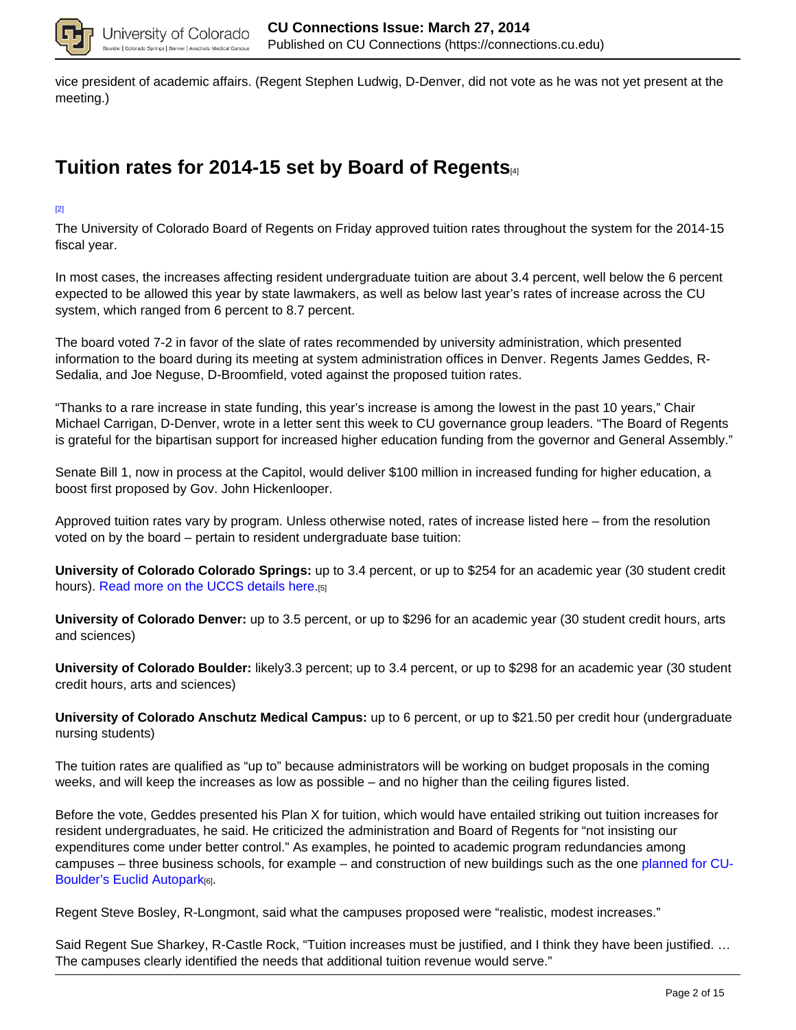

vice president of academic affairs. (Regent Stephen Ludwig, D-Denver, did not vote as he was not yet present at the meeting.)

## **Tuition rates for 2014-15 set by Board of Regents**[4]

[2]

The University of Colorado Board of Regents on Friday approved tuition rates throughout the system for the 2014-15 fiscal year.

In most cases, the increases affecting resident undergraduate tuition are about 3.4 percent, well below the 6 percent expected to be allowed this year by state lawmakers, as well as below last year's rates of increase across the CU system, which ranged from 6 percent to 8.7 percent.

The board voted 7-2 in favor of the slate of rates recommended by university administration, which presented information to the board during its meeting at system administration offices in Denver. Regents James Geddes, R-Sedalia, and Joe Neguse, D-Broomfield, voted against the proposed tuition rates.

"Thanks to a rare increase in state funding, this year's increase is among the lowest in the past 10 years," Chair Michael Carrigan, D-Denver, wrote in a letter sent this week to CU governance group leaders. "The Board of Regents is grateful for the bipartisan support for increased higher education funding from the governor and General Assembly."

Senate Bill 1, now in process at the Capitol, would deliver \$100 million in increased funding for higher education, a boost first proposed by Gov. John Hickenlooper.

Approved tuition rates vary by program. Unless otherwise noted, rates of increase listed here – from the resolution voted on by the board – pertain to resident undergraduate base tuition:

**University of Colorado Colorado Springs:** up to 3.4 percent, or up to \$254 for an academic year (30 student credit hours). Read more on the UCCS details here.[5]

**University of Colorado Denver:** up to 3.5 percent, or up to \$296 for an academic year (30 student credit hours, arts and sciences)

**University of Colorado Boulder:** likely3.3 percent; up to 3.4 percent, or up to \$298 for an academic year (30 student credit hours, arts and sciences)

**University of Colorado Anschutz Medical Campus:** up to 6 percent, or up to \$21.50 per credit hour (undergraduate nursing students)

The tuition rates are qualified as "up to" because administrators will be working on budget proposals in the coming weeks, and will keep the increases as low as possible – and no higher than the ceiling figures listed.

Before the vote, Geddes presented his Plan X for tuition, which would have entailed striking out tuition increases for resident undergraduates, he said. He criticized the administration and Board of Regents for "not insisting our expenditures come under better control." As examples, he pointed to academic program redundancies among campuses – three business schools, for example – and construction of new buildings such as the one planned for CU-Boulder's Euclid Autopark[6].

Regent Steve Bosley, R-Longmont, said what the campuses proposed were "realistic, modest increases."

Said Regent Sue Sharkey, R-Castle Rock, "Tuition increases must be justified, and I think they have been justified. … The campuses clearly identified the needs that additional tuition revenue would serve."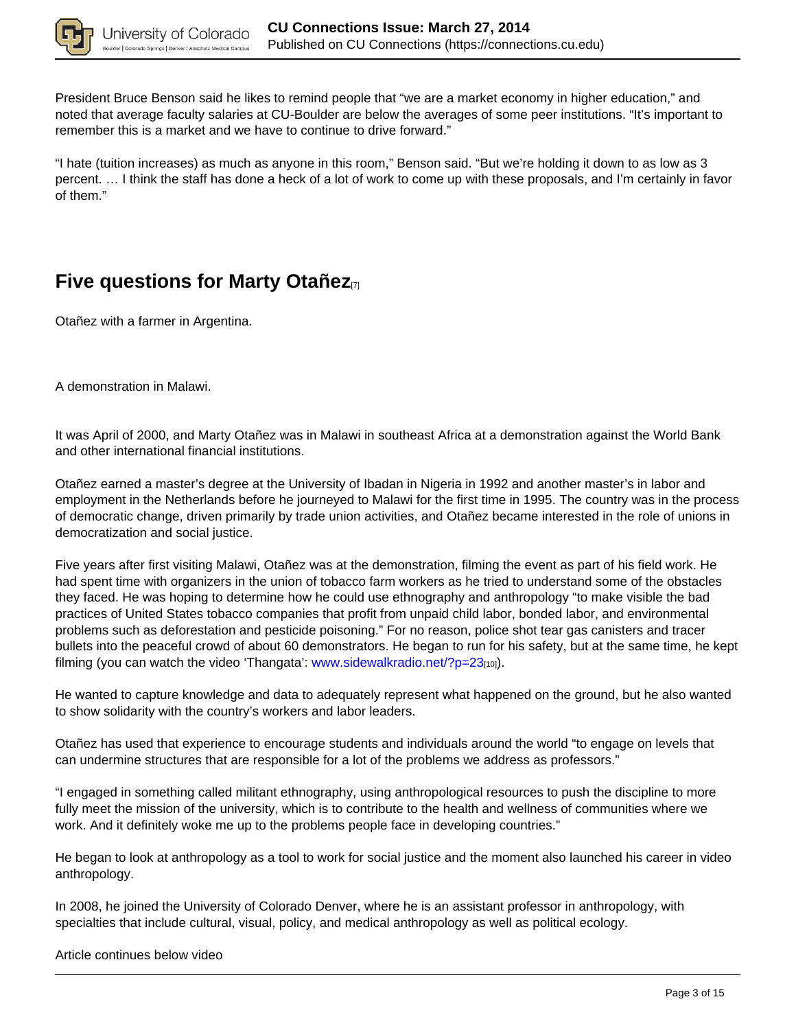

President Bruce Benson said he likes to remind people that "we are a market economy in higher education," and noted that average faculty salaries at CU-Boulder are below the averages of some peer institutions. "It's important to remember this is a market and we have to continue to drive forward."

"I hate (tuition increases) as much as anyone in this room," Benson said. "But we're holding it down to as low as 3 percent. … I think the staff has done a heck of a lot of work to come up with these proposals, and I'm certainly in favor of them."

## **Five questions for Marty Otañez**<sub>[7]</sub>

Otañez with a farmer in Argentina.

A demonstration in Malawi.

It was April of 2000, and Marty Otañez was in Malawi in southeast Africa at a demonstration against the World Bank and other international financial institutions.

Otañez earned a master's degree at the University of Ibadan in Nigeria in 1992 and another master's in labor and employment in the Netherlands before he journeyed to Malawi for the first time in 1995. The country was in the process of democratic change, driven primarily by trade union activities, and Otañez became interested in the role of unions in democratization and social justice.

Five years after first visiting Malawi, Otañez was at the demonstration, filming the event as part of his field work. He had spent time with organizers in the union of tobacco farm workers as he tried to understand some of the obstacles they faced. He was hoping to determine how he could use ethnography and anthropology "to make visible the bad practices of United States tobacco companies that profit from unpaid child labor, bonded labor, and environmental problems such as deforestation and pesticide poisoning." For no reason, police shot tear gas canisters and tracer bullets into the peaceful crowd of about 60 demonstrators. He began to run for his safety, but at the same time, he kept filming (you can watch the video 'Thangata': www.sidewalkradio.net/?p=23<sub>[10]</sub>.

He wanted to capture knowledge and data to adequately represent what happened on the ground, but he also wanted to show solidarity with the country's workers and labor leaders.

Otañez has used that experience to encourage students and individuals around the world "to engage on levels that can undermine structures that are responsible for a lot of the problems we address as professors."

"I engaged in something called militant ethnography, using anthropological resources to push the discipline to more fully meet the mission of the university, which is to contribute to the health and wellness of communities where we work. And it definitely woke me up to the problems people face in developing countries."

He began to look at anthropology as a tool to work for social justice and the moment also launched his career in video anthropology.

In 2008, he joined the University of Colorado Denver, where he is an assistant professor in anthropology, with specialties that include cultural, visual, policy, and medical anthropology as well as political ecology.

#### Article continues below video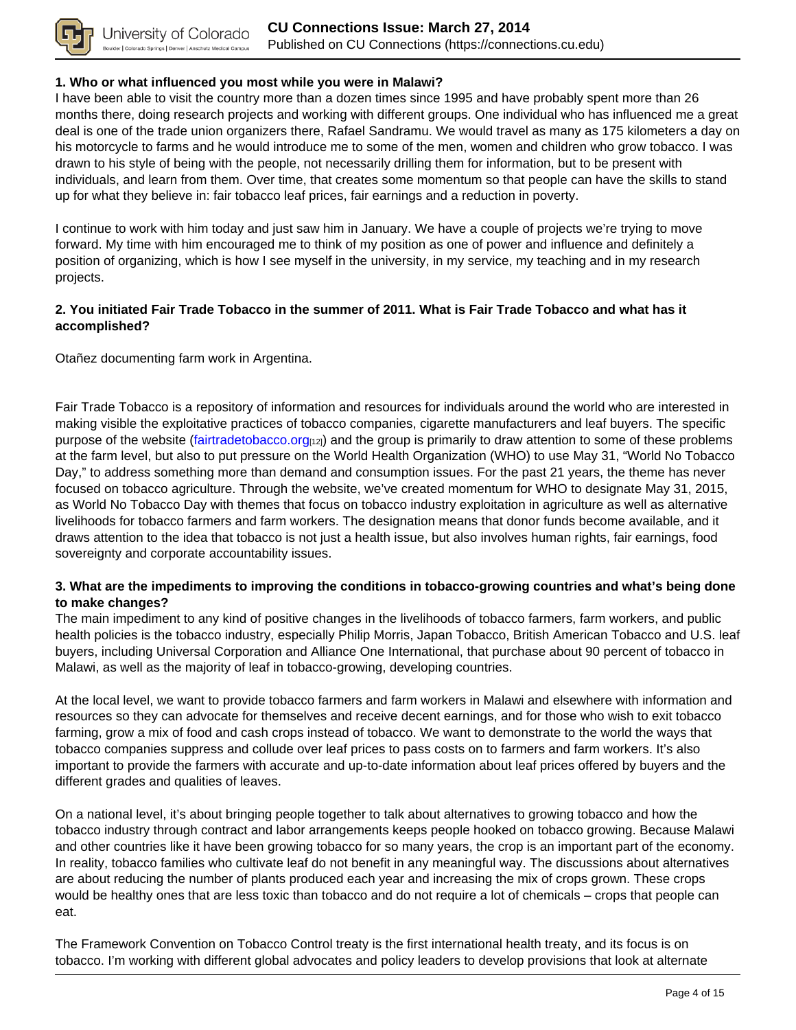

#### **1. Who or what influenced you most while you were in Malawi?**

I have been able to visit the country more than a dozen times since 1995 and have probably spent more than 26 months there, doing research projects and working with different groups. One individual who has influenced me a great deal is one of the trade union organizers there, Rafael Sandramu. We would travel as many as 175 kilometers a day on his motorcycle to farms and he would introduce me to some of the men, women and children who grow tobacco. I was drawn to his style of being with the people, not necessarily drilling them for information, but to be present with individuals, and learn from them. Over time, that creates some momentum so that people can have the skills to stand up for what they believe in: fair tobacco leaf prices, fair earnings and a reduction in poverty.

I continue to work with him today and just saw him in January. We have a couple of projects we're trying to move forward. My time with him encouraged me to think of my position as one of power and influence and definitely a position of organizing, which is how I see myself in the university, in my service, my teaching and in my research projects.

#### **2. You initiated Fair Trade Tobacco in the summer of 2011. What is Fair Trade Tobacco and what has it accomplished?**

Otañez documenting farm work in Argentina.

Fair Trade Tobacco is a repository of information and resources for individuals around the world who are interested in making visible the exploitative practices of tobacco companies, cigarette manufacturers and leaf buyers. The specific purpose of the website (fairtradetobacco.org[12]) and the group is primarily to draw attention to some of these problems at the farm level, but also to put pressure on the World Health Organization (WHO) to use May 31, "World No Tobacco Day," to address something more than demand and consumption issues. For the past 21 years, the theme has never focused on tobacco agriculture. Through the website, we've created momentum for WHO to designate May 31, 2015, as World No Tobacco Day with themes that focus on tobacco industry exploitation in agriculture as well as alternative livelihoods for tobacco farmers and farm workers. The designation means that donor funds become available, and it draws attention to the idea that tobacco is not just a health issue, but also involves human rights, fair earnings, food sovereignty and corporate accountability issues.

### **3. What are the impediments to improving the conditions in tobacco-growing countries and what's being done to make changes?**

The main impediment to any kind of positive changes in the livelihoods of tobacco farmers, farm workers, and public health policies is the tobacco industry, especially Philip Morris, Japan Tobacco, British American Tobacco and U.S. leaf buyers, including Universal Corporation and Alliance One International, that purchase about 90 percent of tobacco in Malawi, as well as the majority of leaf in tobacco-growing, developing countries.

At the local level, we want to provide tobacco farmers and farm workers in Malawi and elsewhere with information and resources so they can advocate for themselves and receive decent earnings, and for those who wish to exit tobacco farming, grow a mix of food and cash crops instead of tobacco. We want to demonstrate to the world the ways that tobacco companies suppress and collude over leaf prices to pass costs on to farmers and farm workers. It's also important to provide the farmers with accurate and up-to-date information about leaf prices offered by buyers and the different grades and qualities of leaves.

On a national level, it's about bringing people together to talk about alternatives to growing tobacco and how the tobacco industry through contract and labor arrangements keeps people hooked on tobacco growing. Because Malawi and other countries like it have been growing tobacco for so many years, the crop is an important part of the economy. In reality, tobacco families who cultivate leaf do not benefit in any meaningful way. The discussions about alternatives are about reducing the number of plants produced each year and increasing the mix of crops grown. These crops would be healthy ones that are less toxic than tobacco and do not require a lot of chemicals – crops that people can eat.

The Framework Convention on Tobacco Control treaty is the first international health treaty, and its focus is on tobacco. I'm working with different global advocates and policy leaders to develop provisions that look at alternate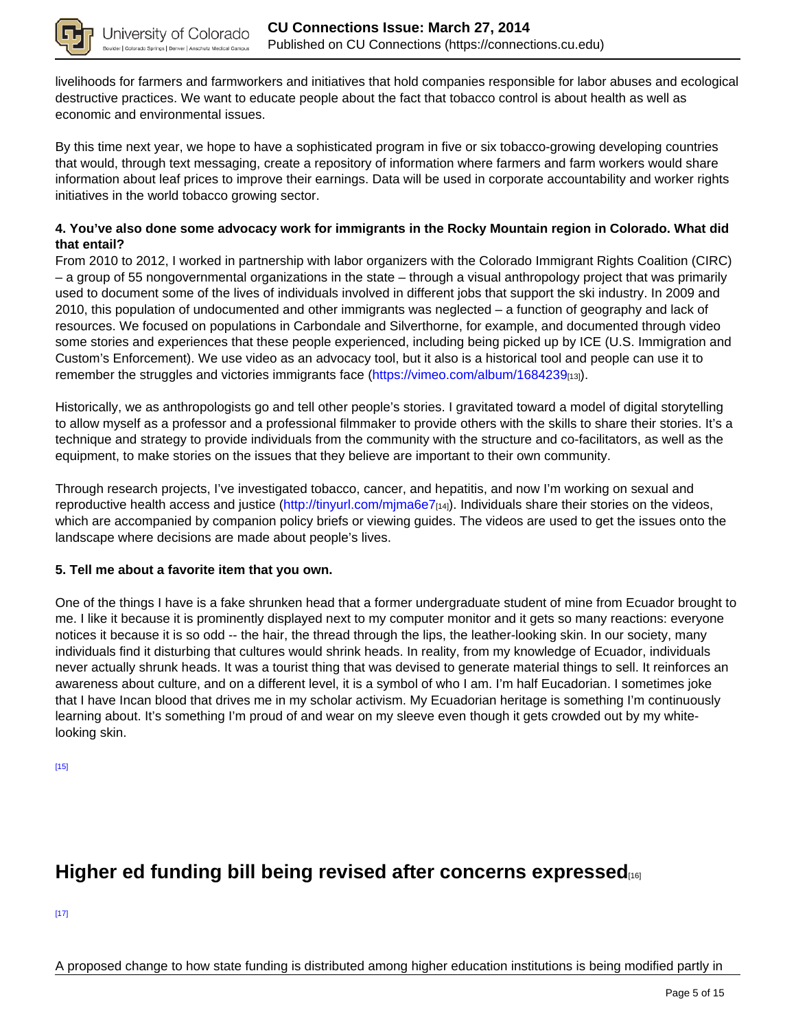

livelihoods for farmers and farmworkers and initiatives that hold companies responsible for labor abuses and ecological destructive practices. We want to educate people about the fact that tobacco control is about health as well as economic and environmental issues.

By this time next year, we hope to have a sophisticated program in five or six tobacco-growing developing countries that would, through text messaging, create a repository of information where farmers and farm workers would share information about leaf prices to improve their earnings. Data will be used in corporate accountability and worker rights initiatives in the world tobacco growing sector.

#### **4. You've also done some advocacy work for immigrants in the Rocky Mountain region in Colorado. What did that entail?**

From 2010 to 2012, I worked in partnership with labor organizers with the Colorado Immigrant Rights Coalition (CIRC) – a group of 55 nongovernmental organizations in the state – through a visual anthropology project that was primarily used to document some of the lives of individuals involved in different jobs that support the ski industry. In 2009 and 2010, this population of undocumented and other immigrants was neglected – a function of geography and lack of resources. We focused on populations in Carbondale and Silverthorne, for example, and documented through video some stories and experiences that these people experienced, including being picked up by ICE (U.S. Immigration and Custom's Enforcement). We use video as an advocacy tool, but it also is a historical tool and people can use it to remember the struggles and victories immigrants face (https://vimeo.com/album/1684239<sub>[13]</sub>).

Historically, we as anthropologists go and tell other people's stories. I gravitated toward a model of digital storytelling to allow myself as a professor and a professional filmmaker to provide others with the skills to share their stories. It's a technique and strategy to provide individuals from the community with the structure and co-facilitators, as well as the equipment, to make stories on the issues that they believe are important to their own community.

Through research projects, I've investigated tobacco, cancer, and hepatitis, and now I'm working on sexual and reproductive health access and justice (http://tinyurl.com/mjma6e7 $_{[14]}$ ). Individuals share their stories on the videos, which are accompanied by companion policy briefs or viewing guides. The videos are used to get the issues onto the landscape where decisions are made about people's lives.

#### **5. Tell me about a favorite item that you own.**

One of the things I have is a fake shrunken head that a former undergraduate student of mine from Ecuador brought to me. I like it because it is prominently displayed next to my computer monitor and it gets so many reactions: everyone notices it because it is so odd -- the hair, the thread through the lips, the leather-looking skin. In our society, many individuals find it disturbing that cultures would shrink heads. In reality, from my knowledge of Ecuador, individuals never actually shrunk heads. It was a tourist thing that was devised to generate material things to sell. It reinforces an awareness about culture, and on a different level, it is a symbol of who I am. I'm half Eucadorian. I sometimes joke that I have Incan blood that drives me in my scholar activism. My Ecuadorian heritage is something I'm continuously learning about. It's something I'm proud of and wear on my sleeve even though it gets crowded out by my whitelooking skin.

[15]

# **Higher ed funding bill being revised after concerns expressed**

[17]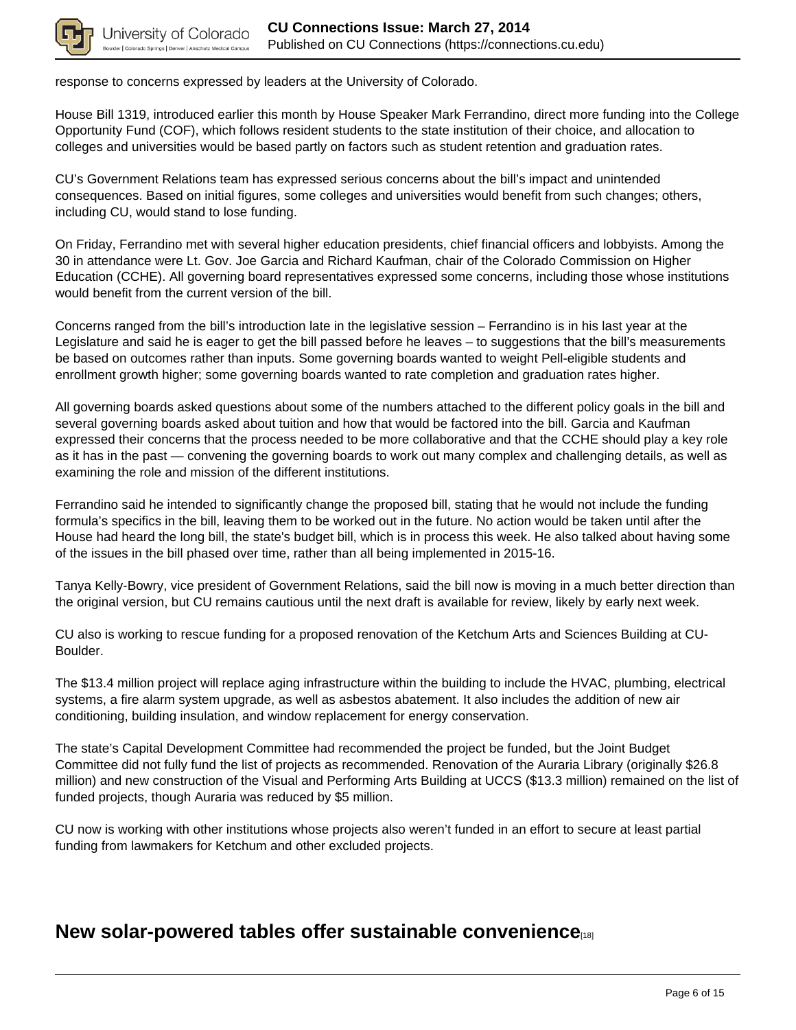

response to concerns expressed by leaders at the University of Colorado.

House Bill 1319, introduced earlier this month by House Speaker Mark Ferrandino, direct more funding into the College Opportunity Fund (COF), which follows resident students to the state institution of their choice, and allocation to colleges and universities would be based partly on factors such as student retention and graduation rates.

CU's Government Relations team has expressed serious concerns about the bill's impact and unintended consequences. Based on initial figures, some colleges and universities would benefit from such changes; others, including CU, would stand to lose funding.

On Friday, Ferrandino met with several higher education presidents, chief financial officers and lobbyists. Among the 30 in attendance were Lt. Gov. Joe Garcia and Richard Kaufman, chair of the Colorado Commission on Higher Education (CCHE). All governing board representatives expressed some concerns, including those whose institutions would benefit from the current version of the bill.

Concerns ranged from the bill's introduction late in the legislative session – Ferrandino is in his last year at the Legislature and said he is eager to get the bill passed before he leaves – to suggestions that the bill's measurements be based on outcomes rather than inputs. Some governing boards wanted to weight Pell-eligible students and enrollment growth higher; some governing boards wanted to rate completion and graduation rates higher.

All governing boards asked questions about some of the numbers attached to the different policy goals in the bill and several governing boards asked about tuition and how that would be factored into the bill. Garcia and Kaufman expressed their concerns that the process needed to be more collaborative and that the CCHE should play a key role as it has in the past — convening the governing boards to work out many complex and challenging details, as well as examining the role and mission of the different institutions.

Ferrandino said he intended to significantly change the proposed bill, stating that he would not include the funding formula's specifics in the bill, leaving them to be worked out in the future. No action would be taken until after the House had heard the long bill, the state's budget bill, which is in process this week. He also talked about having some of the issues in the bill phased over time, rather than all being implemented in 2015-16.

Tanya Kelly-Bowry, vice president of Government Relations, said the bill now is moving in a much better direction than the original version, but CU remains cautious until the next draft is available for review, likely by early next week.

CU also is working to rescue funding for a proposed renovation of the Ketchum Arts and Sciences Building at CU-Boulder.

The \$13.4 million project will replace aging infrastructure within the building to include the HVAC, plumbing, electrical systems, a fire alarm system upgrade, as well as asbestos abatement. It also includes the addition of new air conditioning, building insulation, and window replacement for energy conservation.

The state's Capital Development Committee had recommended the project be funded, but the Joint Budget Committee did not fully fund the list of projects as recommended. Renovation of the Auraria Library (originally \$26.8 million) and new construction of the Visual and Performing Arts Building at UCCS (\$13.3 million) remained on the list of funded projects, though Auraria was reduced by \$5 million.

CU now is working with other institutions whose projects also weren't funded in an effort to secure at least partial funding from lawmakers for Ketchum and other excluded projects.

### **New solar-powered tables offer sustainable convenience**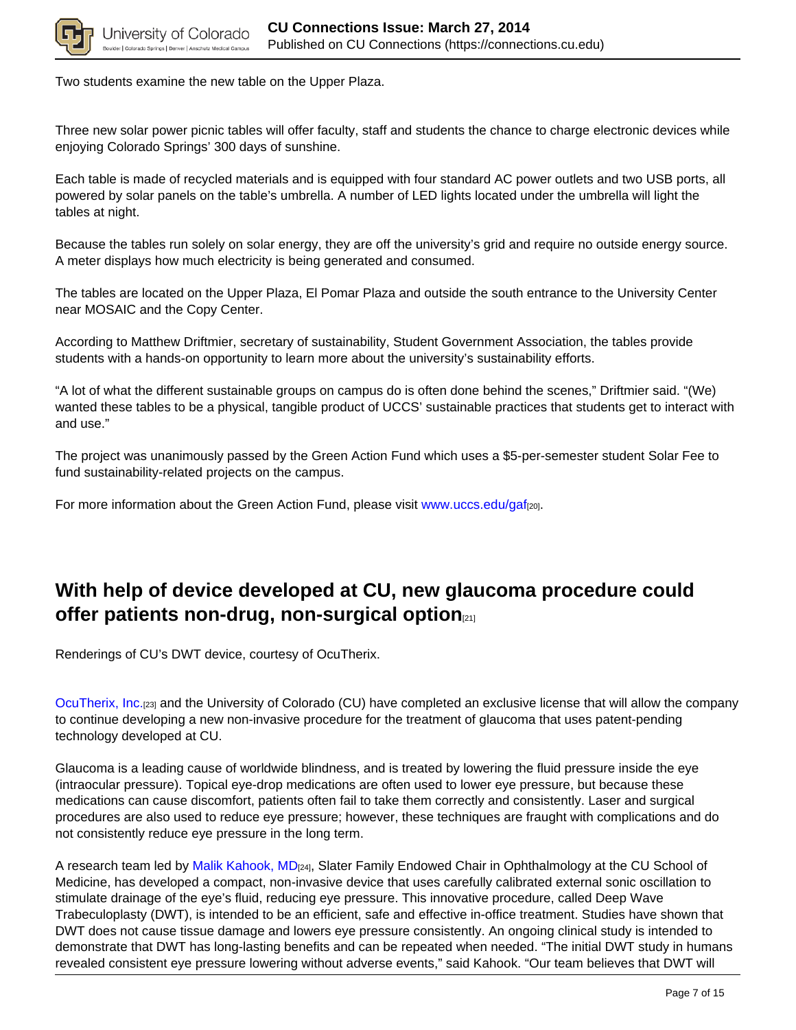

Two students examine the new table on the Upper Plaza.

Three new solar power picnic tables will offer faculty, staff and students the chance to charge electronic devices while enjoying Colorado Springs' 300 days of sunshine.

Each table is made of recycled materials and is equipped with four standard AC power outlets and two USB ports, all powered by solar panels on the table's umbrella. A number of LED lights located under the umbrella will light the tables at night.

Because the tables run solely on solar energy, they are off the university's grid and require no outside energy source. A meter displays how much electricity is being generated and consumed.

The tables are located on the Upper Plaza, El Pomar Plaza and outside the south entrance to the University Center near MOSAIC and the Copy Center.

According to Matthew Driftmier, secretary of sustainability, Student Government Association, the tables provide students with a hands-on opportunity to learn more about the university's sustainability efforts.

"A lot of what the different sustainable groups on campus do is often done behind the scenes," Driftmier said. "(We) wanted these tables to be a physical, tangible product of UCCS' sustainable practices that students get to interact with and use."

The project was unanimously passed by the Green Action Fund which uses a \$5-per-semester student Solar Fee to fund sustainability-related projects on the campus.

For more information about the Green Action Fund, please visit www.uccs.edu/gaf<sub>[20]</sub>.

# **With help of device developed at CU, new glaucoma procedure could offer patients non-drug, non-surgical option**[21]

Renderings of CU's DWT device, courtesy of OcuTherix.

OcuTherix, Inc.[23] and the University of Colorado (CU) have completed an exclusive license that will allow the company to continue developing a new non-invasive procedure for the treatment of glaucoma that uses patent-pending technology developed at CU.

Glaucoma is a leading cause of worldwide blindness, and is treated by lowering the fluid pressure inside the eye (intraocular pressure). Topical eye-drop medications are often used to lower eye pressure, but because these medications can cause discomfort, patients often fail to take them correctly and consistently. Laser and surgical procedures are also used to reduce eye pressure; however, these techniques are fraught with complications and do not consistently reduce eye pressure in the long term.

A research team led by Malik Kahook, MD<sub>[24]</sub>, Slater Family Endowed Chair in Ophthalmology at the CU School of Medicine, has developed a compact, non-invasive device that uses carefully calibrated external sonic oscillation to stimulate drainage of the eye's fluid, reducing eye pressure. This innovative procedure, called Deep Wave Trabeculoplasty (DWT), is intended to be an efficient, safe and effective in-office treatment. Studies have shown that DWT does not cause tissue damage and lowers eye pressure consistently. An ongoing clinical study is intended to demonstrate that DWT has long-lasting benefits and can be repeated when needed. "The initial DWT study in humans revealed consistent eye pressure lowering without adverse events," said Kahook. "Our team believes that DWT will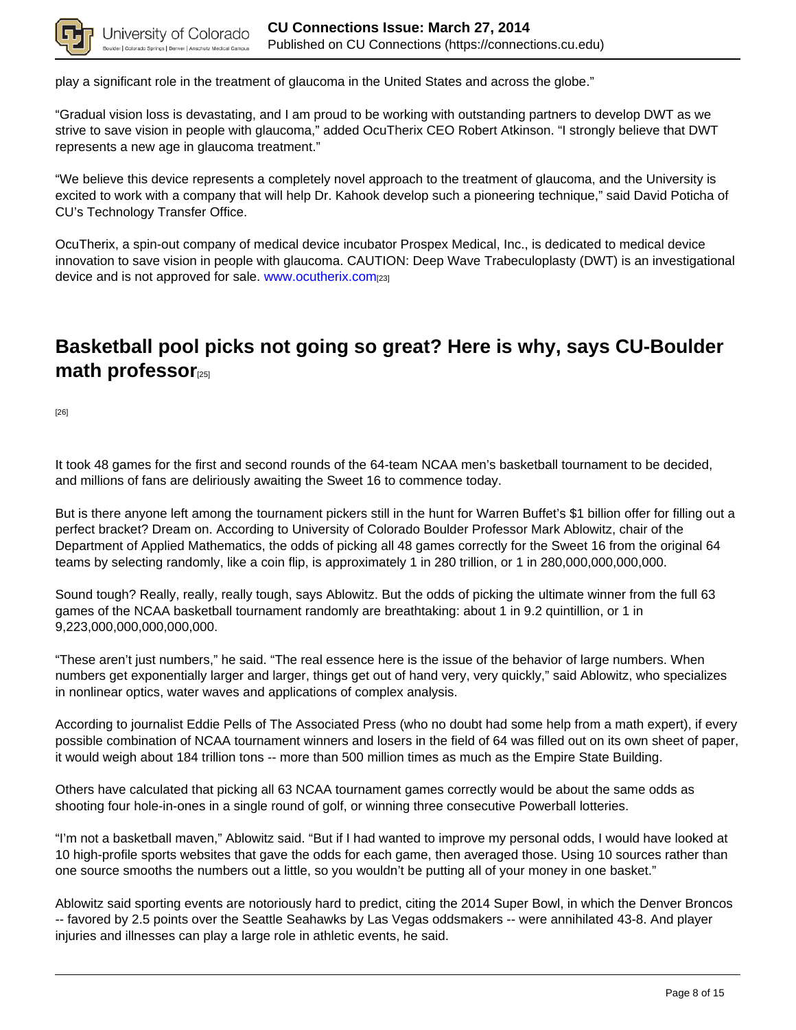

play a significant role in the treatment of glaucoma in the United States and across the globe."

"Gradual vision loss is devastating, and I am proud to be working with outstanding partners to develop DWT as we strive to save vision in people with glaucoma," added OcuTherix CEO Robert Atkinson. "I strongly believe that DWT represents a new age in glaucoma treatment."

"We believe this device represents a completely novel approach to the treatment of glaucoma, and the University is excited to work with a company that will help Dr. Kahook develop such a pioneering technique," said David Poticha of CU's Technology Transfer Office.

OcuTherix, a spin-out company of medical device incubator Prospex Medical, Inc., is dedicated to medical device innovation to save vision in people with glaucoma. CAUTION: Deep Wave Trabeculoplasty (DWT) is an investigational device and is not approved for sale. www.ocutherix.com[23]

# **Basketball pool picks not going so great? Here is why, says CU-Boulder math professor**<sup>[25]</sup>

[26]

It took 48 games for the first and second rounds of the 64-team NCAA men's basketball tournament to be decided, and millions of fans are deliriously awaiting the Sweet 16 to commence today.

But is there anyone left among the tournament pickers still in the hunt for Warren Buffet's \$1 billion offer for filling out a perfect bracket? Dream on. According to University of Colorado Boulder Professor Mark Ablowitz, chair of the Department of Applied Mathematics, the odds of picking all 48 games correctly for the Sweet 16 from the original 64 teams by selecting randomly, like a coin flip, is approximately 1 in 280 trillion, or 1 in 280,000,000,000,000.

Sound tough? Really, really, really tough, says Ablowitz. But the odds of picking the ultimate winner from the full 63 games of the NCAA basketball tournament randomly are breathtaking: about 1 in 9.2 quintillion, or 1 in 9,223,000,000,000,000,000.

"These aren't just numbers," he said. "The real essence here is the issue of the behavior of large numbers. When numbers get exponentially larger and larger, things get out of hand very, very quickly," said Ablowitz, who specializes in nonlinear optics, water waves and applications of complex analysis.

According to journalist Eddie Pells of The Associated Press (who no doubt had some help from a math expert), if every possible combination of NCAA tournament winners and losers in the field of 64 was filled out on its own sheet of paper, it would weigh about 184 trillion tons -- more than 500 million times as much as the Empire State Building.

Others have calculated that picking all 63 NCAA tournament games correctly would be about the same odds as shooting four hole-in-ones in a single round of golf, or winning three consecutive Powerball lotteries.

"I'm not a basketball maven," Ablowitz said. "But if I had wanted to improve my personal odds, I would have looked at 10 high-profile sports websites that gave the odds for each game, then averaged those. Using 10 sources rather than one source smooths the numbers out a little, so you wouldn't be putting all of your money in one basket."

Ablowitz said sporting events are notoriously hard to predict, citing the 2014 Super Bowl, in which the Denver Broncos -- favored by 2.5 points over the Seattle Seahawks by Las Vegas oddsmakers -- were annihilated 43-8. And player injuries and illnesses can play a large role in athletic events, he said.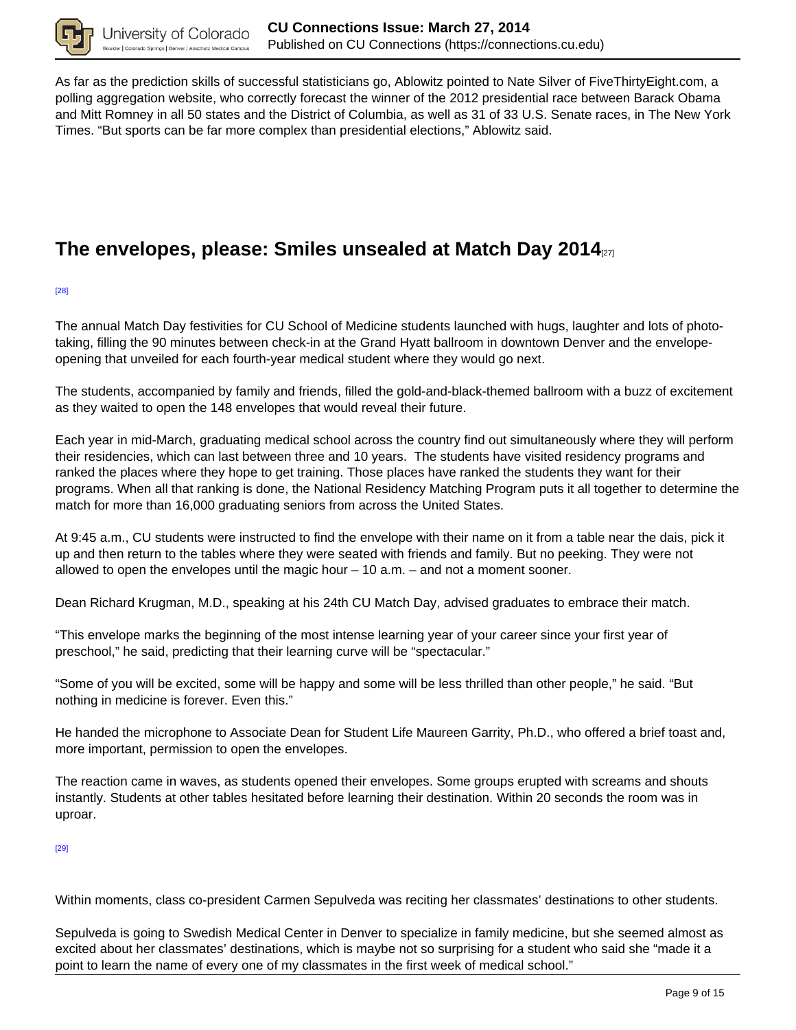

As far as the prediction skills of successful statisticians go, Ablowitz pointed to Nate Silver of FiveThirtyEight.com, a polling aggregation website, who correctly forecast the winner of the 2012 presidential race between Barack Obama and Mitt Romney in all 50 states and the District of Columbia, as well as 31 of 33 U.S. Senate races, in The New York Times. "But sports can be far more complex than presidential elections," Ablowitz said.

# **The envelopes, please: Smiles unsealed at Match Day 2014**[27]

[28]

The annual Match Day festivities for CU School of Medicine students launched with hugs, laughter and lots of phototaking, filling the 90 minutes between check-in at the Grand Hyatt ballroom in downtown Denver and the envelopeopening that unveiled for each fourth-year medical student where they would go next.

The students, accompanied by family and friends, filled the gold-and-black-themed ballroom with a buzz of excitement as they waited to open the 148 envelopes that would reveal their future.

Each year in mid-March, graduating medical school across the country find out simultaneously where they will perform their residencies, which can last between three and 10 years. The students have visited residency programs and ranked the places where they hope to get training. Those places have ranked the students they want for their programs. When all that ranking is done, the National Residency Matching Program puts it all together to determine the match for more than 16,000 graduating seniors from across the United States.

At 9:45 a.m., CU students were instructed to find the envelope with their name on it from a table near the dais, pick it up and then return to the tables where they were seated with friends and family. But no peeking. They were not allowed to open the envelopes until the magic hour  $-$  10 a.m.  $-$  and not a moment sooner.

Dean Richard Krugman, M.D., speaking at his 24th CU Match Day, advised graduates to embrace their match.

"This envelope marks the beginning of the most intense learning year of your career since your first year of preschool," he said, predicting that their learning curve will be "spectacular."

"Some of you will be excited, some will be happy and some will be less thrilled than other people," he said. "But nothing in medicine is forever. Even this."

He handed the microphone to Associate Dean for Student Life Maureen Garrity, Ph.D., who offered a brief toast and, more important, permission to open the envelopes.

The reaction came in waves, as students opened their envelopes. Some groups erupted with screams and shouts instantly. Students at other tables hesitated before learning their destination. Within 20 seconds the room was in uproar.

[29]

Within moments, class co-president Carmen Sepulveda was reciting her classmates' destinations to other students.

Sepulveda is going to Swedish Medical Center in Denver to specialize in family medicine, but she seemed almost as excited about her classmates' destinations, which is maybe not so surprising for a student who said she "made it a point to learn the name of every one of my classmates in the first week of medical school."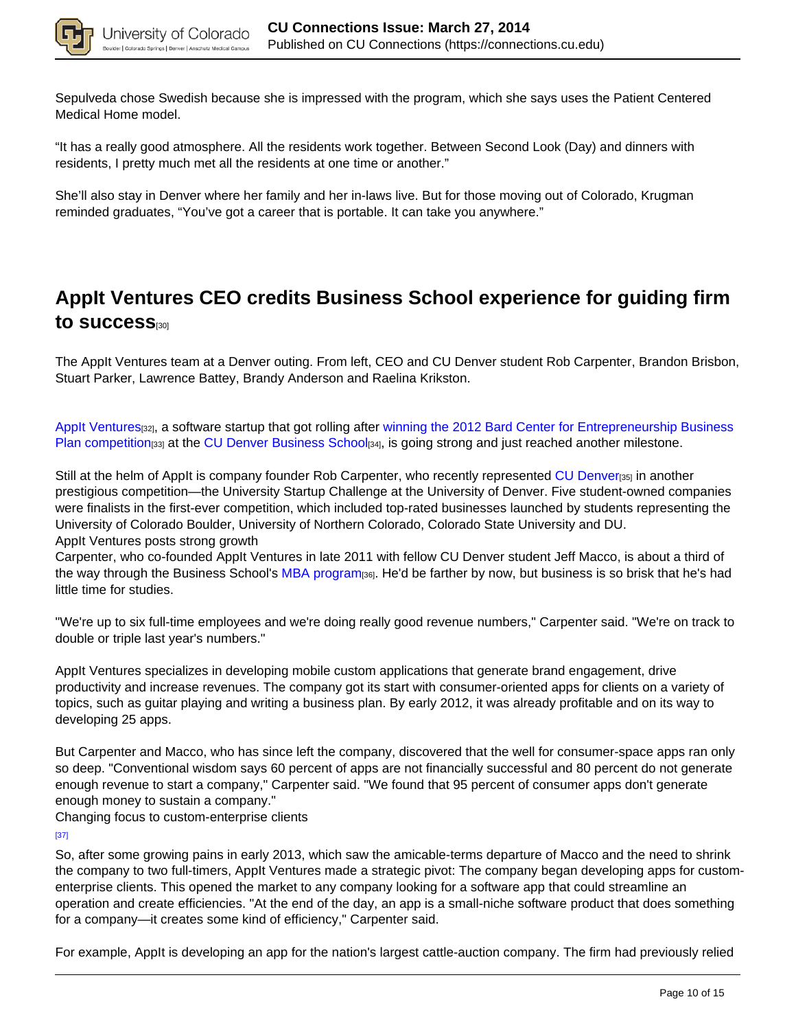

Sepulveda chose Swedish because she is impressed with the program, which she says uses the Patient Centered Medical Home model.

"It has a really good atmosphere. All the residents work together. Between Second Look (Day) and dinners with residents, I pretty much met all the residents at one time or another."

She'll also stay in Denver where her family and her in-laws live. But for those moving out of Colorado, Krugman reminded graduates, "You've got a career that is portable. It can take you anywhere."

# **AppIt Ventures CEO credits Business School experience for guiding firm to success**[30]

The AppIt Ventures team at a Denver outing. From left, CEO and CU Denver student Rob Carpenter, Brandon Brisbon, Stuart Parker, Lawrence Battey, Brandy Anderson and Raelina Krikston.

AppIt Ventures[32], a software startup that got rolling after winning the 2012 Bard Center for Entrepreneurship Business Plan competition<sub>[33]</sub> at the CU Denver Business School<sub>[34]</sub>, is going strong and just reached another milestone.

Still at the helm of AppIt is company founder Rob Carpenter, who recently represented CU Denveres in another prestigious competition—the University Startup Challenge at the University of Denver. Five student-owned companies were finalists in the first-ever competition, which included top-rated businesses launched by students representing the University of Colorado Boulder, University of Northern Colorado, Colorado State University and DU. AppIt Ventures posts strong growth

Carpenter, who co-founded AppIt Ventures in late 2011 with fellow CU Denver student Jeff Macco, is about a third of the way through the Business School's MBA program<sub>[36]</sub>. He'd be farther by now, but business is so brisk that he's had little time for studies.

"We're up to six full-time employees and we're doing really good revenue numbers," Carpenter said. "We're on track to double or triple last year's numbers."

AppIt Ventures specializes in developing mobile custom applications that generate brand engagement, drive productivity and increase revenues. The company got its start with consumer-oriented apps for clients on a variety of topics, such as guitar playing and writing a business plan. By early 2012, it was already profitable and on its way to developing 25 apps.

But Carpenter and Macco, who has since left the company, discovered that the well for consumer-space apps ran only so deep. "Conventional wisdom says 60 percent of apps are not financially successful and 80 percent do not generate enough revenue to start a company," Carpenter said. "We found that 95 percent of consumer apps don't generate enough money to sustain a company."

Changing focus to custom-enterprise clients

[37]

So, after some growing pains in early 2013, which saw the amicable-terms departure of Macco and the need to shrink the company to two full-timers, AppIt Ventures made a strategic pivot: The company began developing apps for customenterprise clients. This opened the market to any company looking for a software app that could streamline an operation and create efficiencies. "At the end of the day, an app is a small-niche software product that does something for a company—it creates some kind of efficiency," Carpenter said.

For example, AppIt is developing an app for the nation's largest cattle-auction company. The firm had previously relied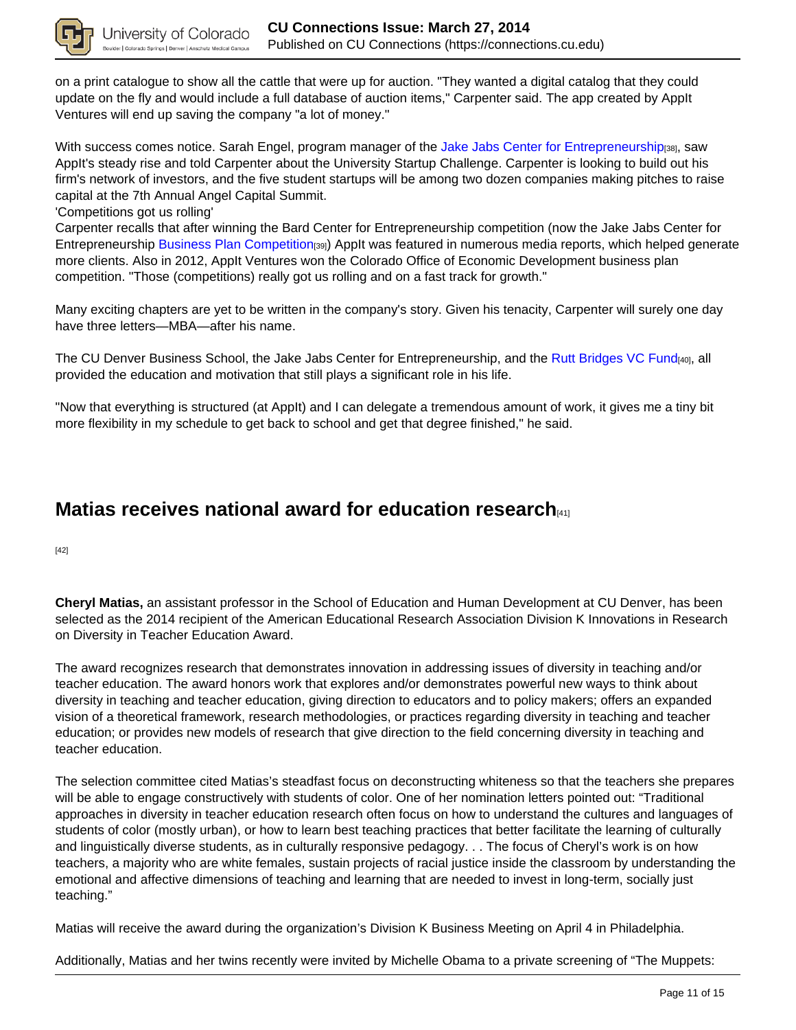

on a print catalogue to show all the cattle that were up for auction. "They wanted a digital catalog that they could update on the fly and would include a full database of auction items," Carpenter said. The app created by AppIt Ventures will end up saving the company "a lot of money."

With success comes notice. Sarah Engel, program manager of the Jake Jabs Center for Entrepreneurship[38], saw AppIt's steady rise and told Carpenter about the University Startup Challenge. Carpenter is looking to build out his firm's network of investors, and the five student startups will be among two dozen companies making pitches to raise capital at the 7th Annual Angel Capital Summit.

#### 'Competitions got us rolling'

Carpenter recalls that after winning the Bard Center for Entrepreneurship competition (now the Jake Jabs Center for Entrepreneurship Business Plan Competition<sub>[39]</sub>) AppIt was featured in numerous media reports, which helped generate more clients. Also in 2012, AppIt Ventures won the Colorado Office of Economic Development business plan competition. "Those (competitions) really got us rolling and on a fast track for growth."

Many exciting chapters are yet to be written in the company's story. Given his tenacity, Carpenter will surely one day have three letters—MBA—after his name.

The CU Denver Business School, the Jake Jabs Center for Entrepreneurship, and the Rutt Bridges VC Fund[40], all provided the education and motivation that still plays a significant role in his life.

"Now that everything is structured (at AppIt) and I can delegate a tremendous amount of work, it gives me a tiny bit more flexibility in my schedule to get back to school and get that degree finished," he said.

### **Matias receives national award for education research**[41]

[42]

**Cheryl Matias,** an assistant professor in the School of Education and Human Development at CU Denver, has been selected as the 2014 recipient of the American Educational Research Association Division K Innovations in Research on Diversity in Teacher Education Award.

The award recognizes research that demonstrates innovation in addressing issues of diversity in teaching and/or teacher education. The award honors work that explores and/or demonstrates powerful new ways to think about diversity in teaching and teacher education, giving direction to educators and to policy makers; offers an expanded vision of a theoretical framework, research methodologies, or practices regarding diversity in teaching and teacher education; or provides new models of research that give direction to the field concerning diversity in teaching and teacher education.

The selection committee cited Matias's steadfast focus on deconstructing whiteness so that the teachers she prepares will be able to engage constructively with students of color. One of her nomination letters pointed out: "Traditional approaches in diversity in teacher education research often focus on how to understand the cultures and languages of students of color (mostly urban), or how to learn best teaching practices that better facilitate the learning of culturally and linguistically diverse students, as in culturally responsive pedagogy. . . The focus of Cheryl's work is on how teachers, a majority who are white females, sustain projects of racial justice inside the classroom by understanding the emotional and affective dimensions of teaching and learning that are needed to invest in long-term, socially just teaching."

Matias will receive the award during the organization's Division K Business Meeting on April 4 in Philadelphia.

Additionally, Matias and her twins recently were invited by Michelle Obama to a private screening of "The Muppets: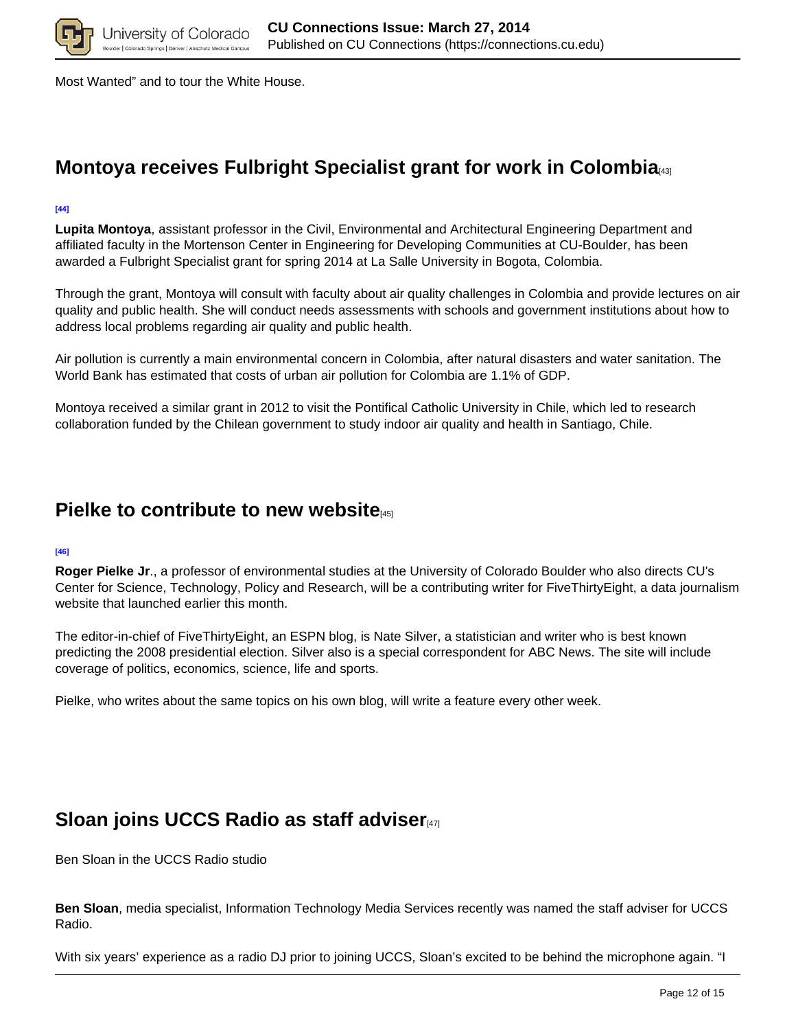

Most Wanted" and to tour the White House.

## **Montoya receives Fulbright Specialist grant for work in Colombia**<sup>[43]</sup>

#### **[44]**

**Lupita Montoya**, assistant professor in the Civil, Environmental and Architectural Engineering Department and affiliated faculty in the Mortenson Center in Engineering for Developing Communities at CU-Boulder, has been awarded a Fulbright Specialist grant for spring 2014 at La Salle University in Bogota, Colombia.

Through the grant, Montoya will consult with faculty about air quality challenges in Colombia and provide lectures on air quality and public health. She will conduct needs assessments with schools and government institutions about how to address local problems regarding air quality and public health.

Air pollution is currently a main environmental concern in Colombia, after natural disasters and water sanitation. The World Bank has estimated that costs of urban air pollution for Colombia are 1.1% of GDP.

Montoya received a similar grant in 2012 to visit the Pontifical Catholic University in Chile, which led to research collaboration funded by the Chilean government to study indoor air quality and health in Santiago, Chile.

### **Pielke to contribute to new website**[45]

#### **[46]**

**Roger Pielke Jr**., a professor of environmental studies at the University of Colorado Boulder who also directs CU's Center for Science, Technology, Policy and Research, will be a contributing writer for FiveThirtyEight, a data journalism website that launched earlier this month.

The editor-in-chief of FiveThirtyEight, an ESPN blog, is Nate Silver, a statistician and writer who is best known predicting the 2008 presidential election. Silver also is a special correspondent for ABC News. The site will include coverage of politics, economics, science, life and sports.

Pielke, who writes about the same topics on his own blog, will write a feature every other week.

### **Sloan joins UCCS Radio as staff adviser**[47]

Ben Sloan in the UCCS Radio studio

**Ben Sloan**, media specialist, Information Technology Media Services recently was named the staff adviser for UCCS Radio.

With six years' experience as a radio DJ prior to joining UCCS, Sloan's excited to be behind the microphone again. "I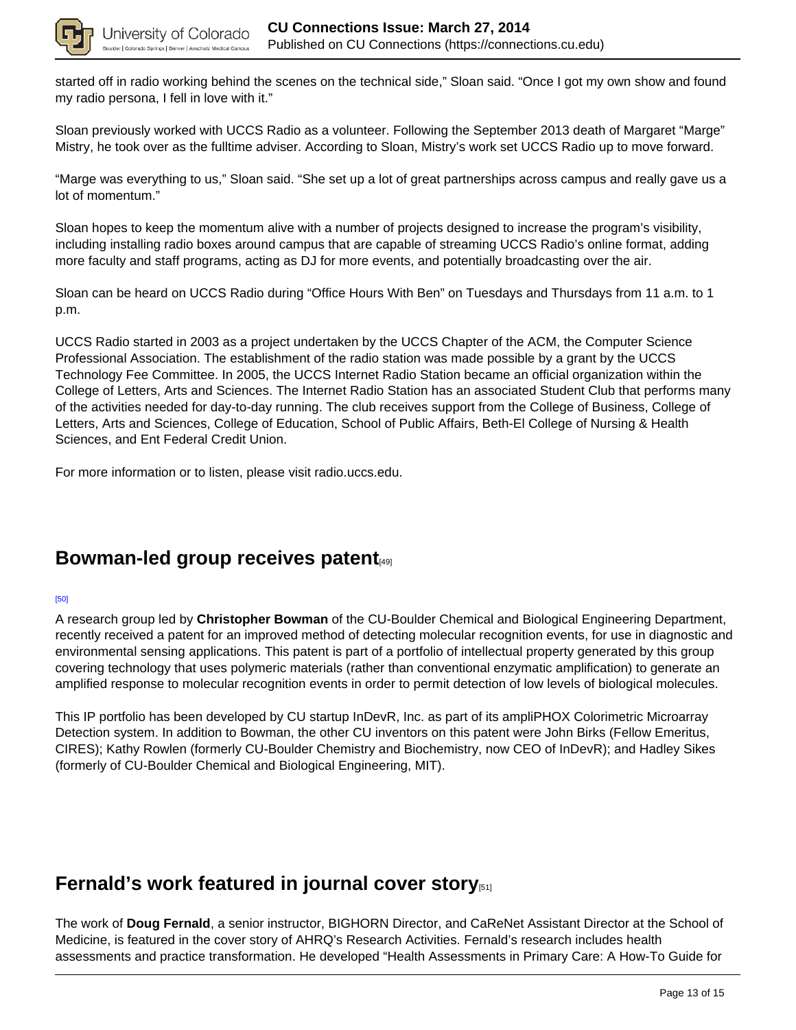

started off in radio working behind the scenes on the technical side," Sloan said. "Once I got my own show and found my radio persona, I fell in love with it."

Sloan previously worked with UCCS Radio as a volunteer. Following the September 2013 death of Margaret "Marge" Mistry, he took over as the fulltime adviser. According to Sloan, Mistry's work set UCCS Radio up to move forward.

"Marge was everything to us," Sloan said. "She set up a lot of great partnerships across campus and really gave us a lot of momentum."

Sloan hopes to keep the momentum alive with a number of projects designed to increase the program's visibility, including installing radio boxes around campus that are capable of streaming UCCS Radio's online format, adding more faculty and staff programs, acting as DJ for more events, and potentially broadcasting over the air.

Sloan can be heard on UCCS Radio during "Office Hours With Ben" on Tuesdays and Thursdays from 11 a.m. to 1 p.m.

UCCS Radio started in 2003 as a project undertaken by the UCCS Chapter of the ACM, the Computer Science Professional Association. The establishment of the radio station was made possible by a grant by the UCCS Technology Fee Committee. In 2005, the UCCS Internet Radio Station became an official organization within the College of Letters, Arts and Sciences. The Internet Radio Station has an associated Student Club that performs many of the activities needed for day-to-day running. The club receives support from the College of Business, College of Letters, Arts and Sciences, College of Education, School of Public Affairs, Beth-El College of Nursing & Health Sciences, and Ent Federal Credit Union.

For more information or to listen, please visit radio.uccs.edu.

### **Bowman-led group receives patent**

#### [50]

A research group led by **Christopher Bowman** of the CU-Boulder Chemical and Biological Engineering Department, recently received a patent for an improved method of detecting molecular recognition events, for use in diagnostic and environmental sensing applications. This patent is part of a portfolio of intellectual property generated by this group covering technology that uses polymeric materials (rather than conventional enzymatic amplification) to generate an amplified response to molecular recognition events in order to permit detection of low levels of biological molecules.

This IP portfolio has been developed by CU startup InDevR, Inc. as part of its ampliPHOX Colorimetric Microarray Detection system. In addition to Bowman, the other CU inventors on this patent were John Birks (Fellow Emeritus, CIRES); Kathy Rowlen (formerly CU-Boulder Chemistry and Biochemistry, now CEO of InDevR); and Hadley Sikes (formerly of CU-Boulder Chemical and Biological Engineering, MIT).

# **Fernald's work featured in journal cover story**[51]

The work of **Doug Fernald**, a senior instructor, BIGHORN Director, and CaReNet Assistant Director at the School of Medicine, is featured in the cover story of AHRQ's Research Activities. Fernald's research includes health assessments and practice transformation. He developed "Health Assessments in Primary Care: A How-To Guide for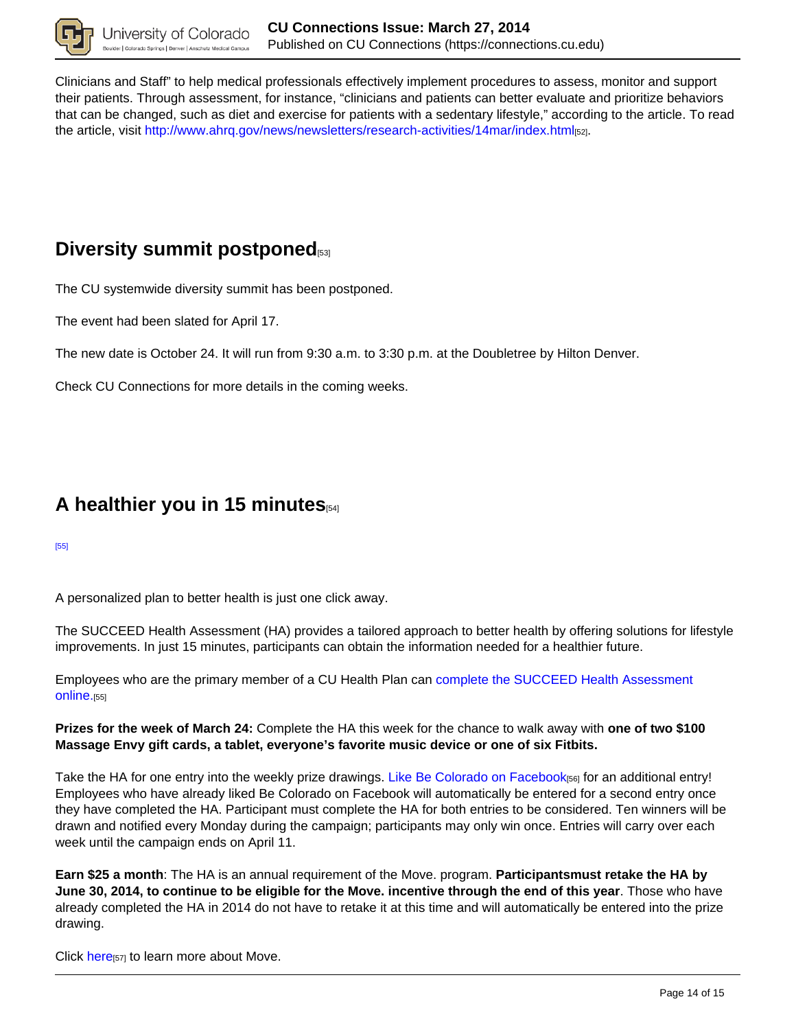

Clinicians and Staff" to help medical professionals effectively implement procedures to assess, monitor and support their patients. Through assessment, for instance, "clinicians and patients can better evaluate and prioritize behaviors that can be changed, such as diet and exercise for patients with a sedentary lifestyle," according to the article. To read the article, visit http://www.ahrq.gov/news/newsletters/research-activities/14mar/index.html[52].

## **Diversity summit postponed**

The CU systemwide diversity summit has been postponed.

The event had been slated for April 17.

The new date is October 24. It will run from 9:30 a.m. to 3:30 p.m. at the Doubletree by Hilton Denver.

Check CU Connections for more details in the coming weeks.

### **A healthier you in 15 minutes**[54]

[55]

A personalized plan to better health is just one click away.

The SUCCEED Health Assessment (HA) provides a tailored approach to better health by offering solutions for lifestyle improvements. In just 15 minutes, participants can obtain the information needed for a healthier future.

Employees who are the primary member of a CU Health Plan can complete the SUCCEED Health Assessment online.[55]

**Prizes for the week of March 24:** Complete the HA this week for the chance to walk away with **one of two \$100 Massage Envy gift cards, a tablet, everyone's favorite music device or one of six Fitbits.**

Take the HA for one entry into the weekly prize drawings. Like Be Colorado on Facebook[56] for an additional entry! Employees who have already liked Be Colorado on Facebook will automatically be entered for a second entry once they have completed the HA. Participant must complete the HA for both entries to be considered. Ten winners will be drawn and notified every Monday during the campaign; participants may only win once. Entries will carry over each week until the campaign ends on April 11.

**Earn \$25 a month**: The HA is an annual requirement of the Move. program. **Participantsmust retake the HA by June 30, 2014, to continue to be eligible for the Move. incentive through the end of this year**. Those who have already completed the HA in 2014 do not have to retake it at this time and will automatically be entered into the prize drawing.

Click here<sup>[57]</sup> to learn more about Move.